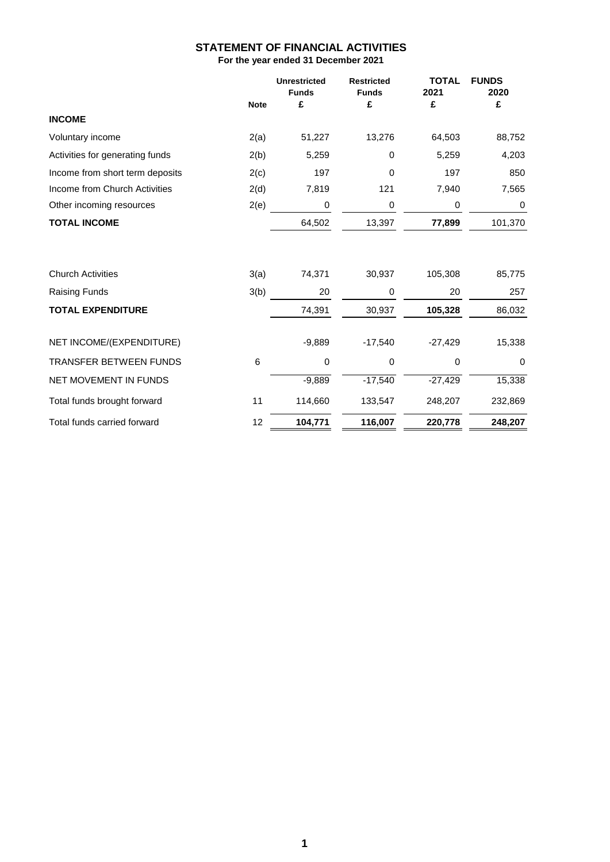## **STATEMENT OF FINANCIAL ACTIVITIES For the year ended 31 December 2021**

|                                 |             | <b>Unrestricted</b><br><b>Funds</b> | <b>Restricted</b><br><b>Funds</b> | <b>TOTAL</b><br>2021 | <b>FUNDS</b><br>2020 |
|---------------------------------|-------------|-------------------------------------|-----------------------------------|----------------------|----------------------|
|                                 | <b>Note</b> | £                                   | £                                 | £                    | £                    |
| <b>INCOME</b>                   |             |                                     |                                   |                      |                      |
| Voluntary income                | 2(a)        | 51,227                              | 13,276                            | 64,503               | 88,752               |
| Activities for generating funds | 2(b)        | 5,259                               | 0                                 | 5,259                | 4,203                |
| Income from short term deposits | 2(c)        | 197                                 | 0                                 | 197                  | 850                  |
| Income from Church Activities   | 2(d)        | 7,819                               | 121                               | 7,940                | 7,565                |
| Other incoming resources        | 2(e)        | $\pmb{0}$                           | 0                                 | $\pmb{0}$            | 0                    |
| <b>TOTAL INCOME</b>             |             | 64,502                              | 13,397                            | 77,899               | 101,370              |
| <b>Church Activities</b>        | 3(a)        | 74,371                              | 30,937                            | 105,308              | 85,775               |
| <b>Raising Funds</b>            | 3(b)        | 20                                  | 0                                 | 20                   | 257                  |
| <b>TOTAL EXPENDITURE</b>        |             | 74,391                              | 30,937                            | 105,328              | 86,032               |
| NET INCOME/(EXPENDITURE)        |             | $-9,889$                            | $-17,540$                         | $-27,429$            | 15,338               |
| <b>TRANSFER BETWEEN FUNDS</b>   | $\,6$       | 0                                   | 0                                 | $\mathbf 0$          | $\mathbf 0$          |
| NET MOVEMENT IN FUNDS           |             | $-9,889$                            | $-17,540$                         | $-27,429$            | 15,338               |
| Total funds brought forward     | 11          | 114,660                             | 133,547                           | 248,207              | 232,869              |
| Total funds carried forward     | 12          | 104,771                             | 116,007                           | 220,778              | 248,207              |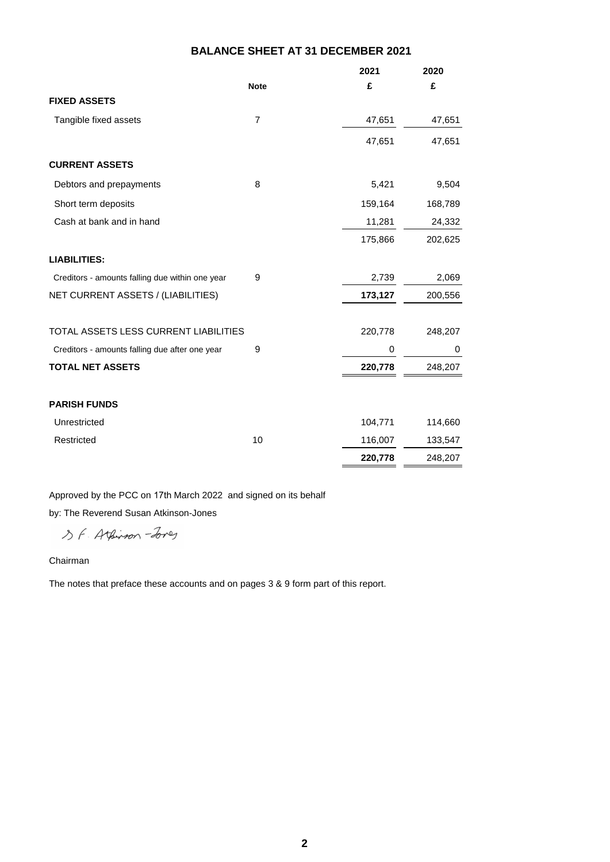# **BALANCE SHEET AT 31 DECEMBER 2021**

|                                                 |                | 2021    | 2020     |
|-------------------------------------------------|----------------|---------|----------|
|                                                 | <b>Note</b>    | £       | £        |
| <b>FIXED ASSETS</b>                             |                |         |          |
| Tangible fixed assets                           | $\overline{7}$ | 47,651  | 47,651   |
|                                                 |                | 47,651  | 47,651   |
| <b>CURRENT ASSETS</b>                           |                |         |          |
| Debtors and prepayments                         | $\, 8$         | 5,421   | 9,504    |
| Short term deposits                             |                | 159,164 | 168,789  |
| Cash at bank and in hand                        |                | 11,281  | 24,332   |
|                                                 |                | 175,866 | 202,625  |
| <b>LIABILITIES:</b>                             |                |         |          |
| Creditors - amounts falling due within one year | 9              | 2,739   | 2,069    |
| NET CURRENT ASSETS / (LIABILITIES)              |                | 173,127 | 200,556  |
|                                                 |                |         |          |
| TOTAL ASSETS LESS CURRENT LIABILITIES           |                | 220,778 | 248,207  |
| Creditors - amounts falling due after one year  | 9              | 0       | $\Omega$ |
| <b>TOTAL NET ASSETS</b>                         |                | 220,778 | 248,207  |
| <b>PARISH FUNDS</b>                             |                |         |          |
| Unrestricted                                    |                | 104,771 | 114,660  |
| Restricted                                      | 10             | 116,007 | 133,547  |
|                                                 |                | 220,778 | 248,207  |

Approved by the PCC on 17th March 2022 and signed on its behalf

by: The Reverend Susan Atkinson-Jones

SF. Athinson-Jones

#### Chairman

The notes that preface these accounts and on pages 3 & 9 form part of this report.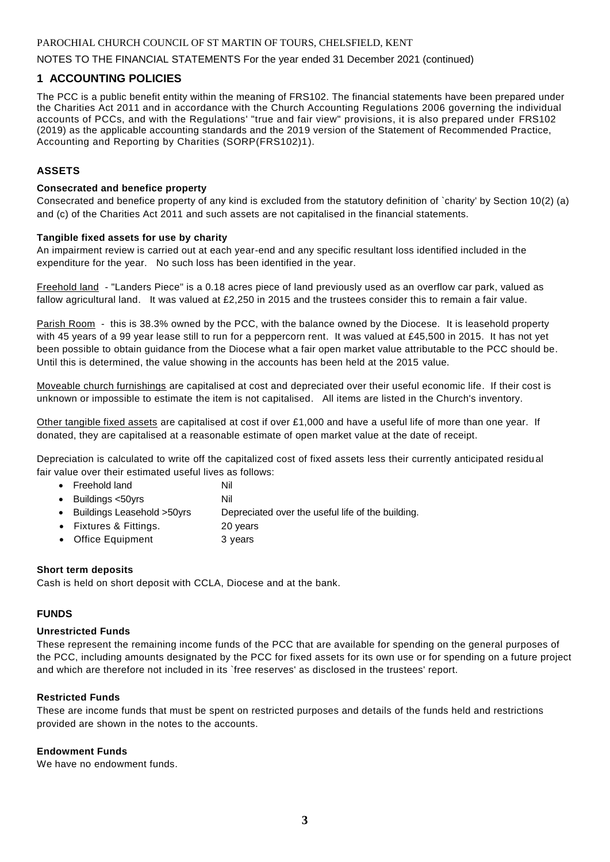PAROCHIAL CHURCH COUNCIL OF ST MARTIN OF TOURS, CHELSFIELD, KENT

### NOTES TO THE FINANCIAL STATEMENTS For the year ended 31 December 2021 (continued)

## **1 ACCOUNTING POLICIES**

The PCC is a public benefit entity within the meaning of FRS102. The financial statements have been prepared under the Charities Act 2011 and in accordance with the Church Accounting Regulations 2006 governing the individual accounts of PCCs, and with the Regulations' "true and fair view" provisions, it is also prepared under FRS102 (2019) as the applicable accounting standards and the 2019 version of the Statement of Recommended Practice, Accounting and Reporting by Charities (SORP(FRS102)1).

## **ASSETS**

#### **Consecrated and benefice property**

Consecrated and benefice property of any kind is excluded from the statutory definition of `charity' by Section 10(2) (a) and (c) of the Charities Act 2011 and such assets are not capitalised in the financial statements.

#### **Tangible fixed assets for use by charity**

An impairment review is carried out at each year-end and any specific resultant loss identified included in the expenditure for the year. No such loss has been identified in the year.

Freehold land - "Landers Piece" is a 0.18 acres piece of land previously used as an overflow car park, valued as fallow agricultural land. It was valued at £2,250 in 2015 and the trustees consider this to remain a fair value.

Parish Room - this is 38.3% owned by the PCC, with the balance owned by the Diocese. It is leasehold property with 45 years of a 99 year lease still to run for a peppercorn rent. It was valued at £45,500 in 2015. It has not yet been possible to obtain guidance from the Diocese what a fair open market value attributable to the PCC should be. Until this is determined, the value showing in the accounts has been held at the 2015 value.

Moveable church furnishings are capitalised at cost and depreciated over their useful economic life. If their cost is unknown or impossible to estimate the item is not capitalised. All items are listed in the Church's inventory.

Other tangible fixed assets are capitalised at cost if over £1,000 and have a useful life of more than one year. If donated, they are capitalised at a reasonable estimate of open market value at the date of receipt.

Depreciation is calculated to write off the capitalized cost of fixed assets less their currently anticipated residu al fair value over their estimated useful lives as follows:

- Freehold land Nil
- Buildings <50yrs Nil
- Buildings Leasehold >50yrs Depreciated over the useful life of the building.
- Fixtures & Fittings. 20 years
- Office Equipment 3 years

#### **Short term deposits**

Cash is held on short deposit with CCLA, Diocese and at the bank.

## **FUNDS**

#### **Unrestricted Funds**

These represent the remaining income funds of the PCC that are available for spending on the general purposes of the PCC, including amounts designated by the PCC for fixed assets for its own use or for spending on a future project and which are therefore not included in its `free reserves' as disclosed in the trustees' report.

#### **Restricted Funds**

These are income funds that must be spent on restricted purposes and details of the funds held and restrictions provided are shown in the notes to the accounts.

#### **Endowment Funds**

We have no endowment funds.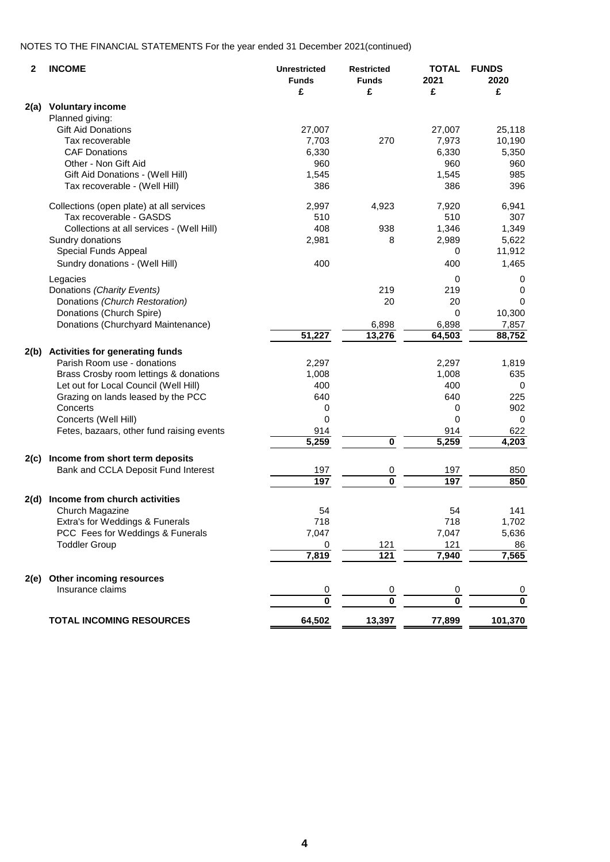## NOTES TO THE FINANCIAL STATEMENTS For the year ended 31 December 2021(continued)

| 2    | <b>INCOME</b>                             | <b>Unrestricted</b><br><b>Funds</b><br>£ | <b>Restricted</b><br><b>Funds</b><br>£ | <b>TOTAL</b><br>2021<br>£ | <b>FUNDS</b><br>2020<br>£ |
|------|-------------------------------------------|------------------------------------------|----------------------------------------|---------------------------|---------------------------|
| 2(a) | <b>Voluntary income</b>                   |                                          |                                        |                           |                           |
|      | Planned giving:                           |                                          |                                        |                           |                           |
|      | <b>Gift Aid Donations</b>                 | 27,007                                   |                                        | 27,007                    | 25,118                    |
|      | Tax recoverable                           | 7,703                                    | 270                                    | 7,973                     | 10,190                    |
|      | <b>CAF Donations</b>                      | 6,330                                    |                                        | 6,330                     | 5,350                     |
|      | Other - Non Gift Aid                      | 960                                      |                                        | 960                       | 960                       |
|      | Gift Aid Donations - (Well Hill)          | 1,545                                    |                                        | 1,545                     | 985                       |
|      | Tax recoverable - (Well Hill)             | 386                                      |                                        | 386                       | 396                       |
|      | Collections (open plate) at all services  | 2,997                                    | 4,923                                  | 7,920                     | 6,941                     |
|      | Tax recoverable - GASDS                   | 510                                      |                                        | 510                       | 307                       |
|      | Collections at all services - (Well Hill) | 408                                      | 938                                    | 1,346                     | 1,349                     |
|      | Sundry donations                          | 2,981                                    | 8                                      | 2,989                     | 5,622                     |
|      | <b>Special Funds Appeal</b>               |                                          |                                        | 0                         | 11,912                    |
|      | Sundry donations - (Well Hill)            | 400                                      |                                        | 400                       | 1,465                     |
|      | Legacies                                  |                                          |                                        | 0                         | 0                         |
|      | Donations (Charity Events)                |                                          | 219                                    | 219                       | 0                         |
|      | Donations (Church Restoration)            |                                          | 20                                     | 20                        | 0                         |
|      | Donations (Church Spire)                  |                                          |                                        | 0                         | 10,300                    |
|      | Donations (Churchyard Maintenance)        |                                          | 6,898                                  | 6,898                     | 7,857                     |
|      |                                           | 51,227                                   | 13,276                                 | 64,503                    | 88,752                    |
| 2(b) | <b>Activities for generating funds</b>    |                                          |                                        |                           |                           |
|      | Parish Room use - donations               | 2,297                                    |                                        | 2,297                     | 1,819                     |
|      | Brass Crosby room lettings & donations    | 1,008                                    |                                        | 1,008                     | 635                       |
|      | Let out for Local Council (Well Hill)     | 400                                      |                                        | 400                       | 0                         |
|      | Grazing on lands leased by the PCC        | 640                                      |                                        | 640                       | 225                       |
|      | Concerts                                  |                                          |                                        | 0                         | 902                       |
|      |                                           | 0<br>0                                   |                                        | 0                         | 0                         |
|      | Concerts (Well Hill)                      |                                          |                                        |                           |                           |
|      | Fetes, bazaars, other fund raising events | 914<br>$\overline{5,259}$                | $\mathbf 0$                            | 914<br>5,259              | 622<br>4,203              |
| 2(c) | Income from short term deposits           |                                          |                                        |                           |                           |
|      | Bank and CCLA Deposit Fund Interest       | 197                                      | 0                                      | 197                       | 850                       |
|      |                                           | 197                                      | $\pmb{0}$                              | 197                       | 850                       |
| 2(d) | Income from church activities             |                                          |                                        |                           |                           |
|      | Church Magazine                           | 54                                       |                                        | 54                        | 141                       |
|      | Extra's for Weddings & Funerals           | 718                                      |                                        | 718                       | 1,702                     |
|      | PCC Fees for Weddings & Funerals          | 7,047                                    |                                        | 7,047                     | 5,636                     |
|      | <b>Toddler Group</b>                      | 0                                        | 121                                    | 121                       | 86                        |
|      |                                           | 7,819                                    | 121                                    | 7,940                     | 7,565                     |
| 2(e) | Other incoming resources                  |                                          |                                        |                           |                           |
|      | Insurance claims                          | $\overline{0}$                           | $\boldsymbol{0}$                       | $\boldsymbol{0}$          | 0                         |
|      |                                           | $\overline{\mathbf{0}}$                  | $\overline{\mathbf{0}}$                | $\bf{0}$                  | $\overline{\mathbf{0}}$   |
|      | <b>TOTAL INCOMING RESOURCES</b>           | 64,502                                   | 13,397                                 | 77,899                    | 101,370                   |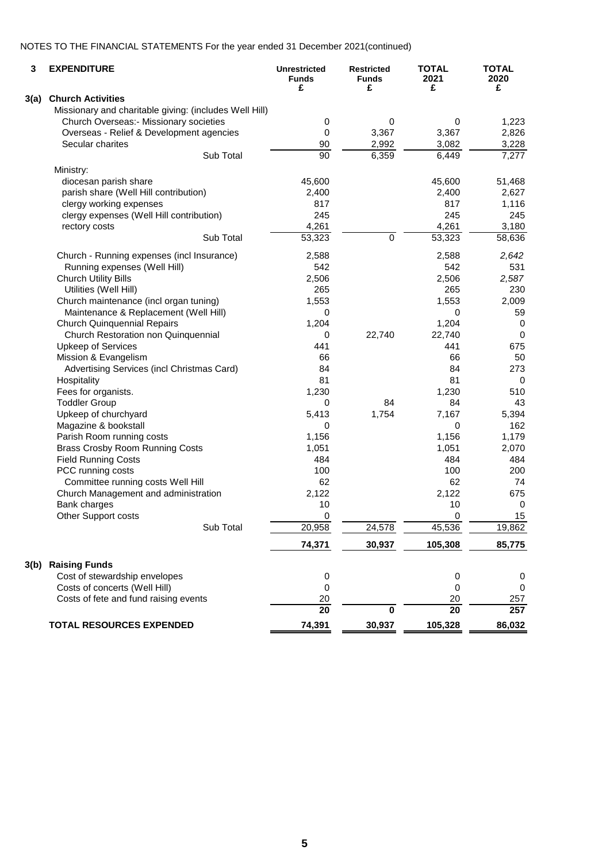## NOTES TO THE FINANCIAL STATEMENTS For the year ended 31 December 2021(continued)

| 3    | <b>EXPENDITURE</b>                                     | <b>Unrestricted</b><br><b>Funds</b><br>£ | <b>Restricted</b><br><b>Funds</b><br>£ | <b>TOTAL</b><br>2021<br>£ | <b>TOTAL</b><br>2020<br>£ |
|------|--------------------------------------------------------|------------------------------------------|----------------------------------------|---------------------------|---------------------------|
| 3(a) | <b>Church Activities</b>                               |                                          |                                        |                           |                           |
|      | Missionary and charitable giving: (includes Well Hill) |                                          |                                        |                           |                           |
|      | <b>Church Overseas:</b> Missionary societies           | 0                                        | 0                                      | 0                         | 1,223                     |
|      | Overseas - Relief & Development agencies               | $\pmb{0}$                                | 3,367                                  | 3,367                     | 2,826                     |
|      | Secular charites                                       | 90                                       | 2,992                                  | 3,082                     | 3,228                     |
|      | Sub Total                                              | 90                                       | 6,359                                  | 6,449                     | 7,277                     |
|      | Ministry:                                              |                                          |                                        |                           |                           |
|      | diocesan parish share                                  | 45,600                                   |                                        | 45,600                    | 51,468                    |
|      | parish share (Well Hill contribution)                  | 2,400                                    |                                        | 2,400                     | 2,627                     |
|      | clergy working expenses                                | 817                                      |                                        | 817                       | 1,116                     |
|      | clergy expenses (Well Hill contribution)               | 245                                      |                                        | 245                       | 245                       |
|      | rectory costs                                          | 4,261                                    |                                        | 4,261                     | 3,180                     |
|      | Sub Total                                              | 53,323                                   | $\pmb{0}$                              | $\overline{53,323}$       | 58,636                    |
|      |                                                        |                                          |                                        |                           |                           |
|      | Church - Running expenses (incl Insurance)             | 2,588                                    |                                        | 2,588                     | 2,642                     |
|      | Running expenses (Well Hill)                           | 542                                      |                                        | 542                       | 531                       |
|      | <b>Church Utility Bills</b>                            | 2,506                                    |                                        | 2,506                     | 2,587                     |
|      | Utilities (Well Hill)                                  | 265                                      |                                        | 265                       | 230                       |
|      | Church maintenance (incl organ tuning)                 | 1,553                                    |                                        | 1,553                     | 2,009                     |
|      | Maintenance & Replacement (Well Hill)                  | 0                                        |                                        | 0                         | 59                        |
|      | <b>Church Quinquennial Repairs</b>                     | 1,204                                    |                                        | 1,204                     | 0                         |
|      | Church Restoration non Quinquennial                    | 0                                        | 22,740                                 | 22,740                    | $\mathbf 0$               |
|      | <b>Upkeep of Services</b>                              | 441                                      |                                        | 441                       | 675                       |
|      | Mission & Evangelism                                   | 66                                       |                                        | 66                        | 50                        |
|      | Advertising Services (incl Christmas Card)             | 84                                       |                                        | 84                        | 273                       |
|      | Hospitality                                            | 81                                       |                                        | 81                        | 0                         |
|      | Fees for organists.                                    | 1,230                                    |                                        | 1,230                     | 510                       |
|      | <b>Toddler Group</b>                                   | 0                                        | 84                                     | 84                        | 43                        |
|      | Upkeep of churchyard                                   | 5,413                                    | 1,754                                  | 7,167                     | 5,394                     |
|      | Magazine & bookstall                                   | 0                                        |                                        | 0                         | 162                       |
|      | Parish Room running costs                              | 1,156                                    |                                        | 1,156                     | 1,179                     |
|      | <b>Brass Crosby Room Running Costs</b>                 | 1,051                                    |                                        | 1,051                     | 2,070                     |
|      | <b>Field Running Costs</b>                             | 484                                      |                                        | 484                       | 484                       |
|      | PCC running costs                                      | 100                                      |                                        | 100                       | 200                       |
|      | Committee running costs Well Hill                      | 62                                       |                                        | 62                        | 74                        |
|      | Church Management and administration                   | 2,122                                    |                                        | 2,122                     | 675                       |
|      | Bank charges                                           | 10                                       |                                        | 10                        | 0                         |
|      | Other Support costs                                    | 0                                        |                                        | 0                         | 15                        |
|      | Sub Total                                              | 20,958                                   | 24,578                                 | 45,536                    | 19,862                    |
|      |                                                        | 74,371                                   | 30,937                                 | 105,308                   | 85,775                    |
| 3(b) | <b>Raising Funds</b>                                   |                                          |                                        |                           |                           |
|      | Cost of stewardship envelopes                          | 0                                        |                                        | 0                         | 0                         |
|      | Costs of concerts (Well Hill)                          | 0                                        |                                        | $\mathbf 0$               | 0                         |
|      | Costs of fete and fund raising events                  | 20                                       |                                        | 20                        | 257                       |
|      |                                                        | $\overline{20}$                          | 0                                      | $\overline{20}$           | 257                       |
|      | <b>TOTAL RESOURCES EXPENDED</b>                        | 74,391                                   | 30,937                                 | 105,328                   | 86,032                    |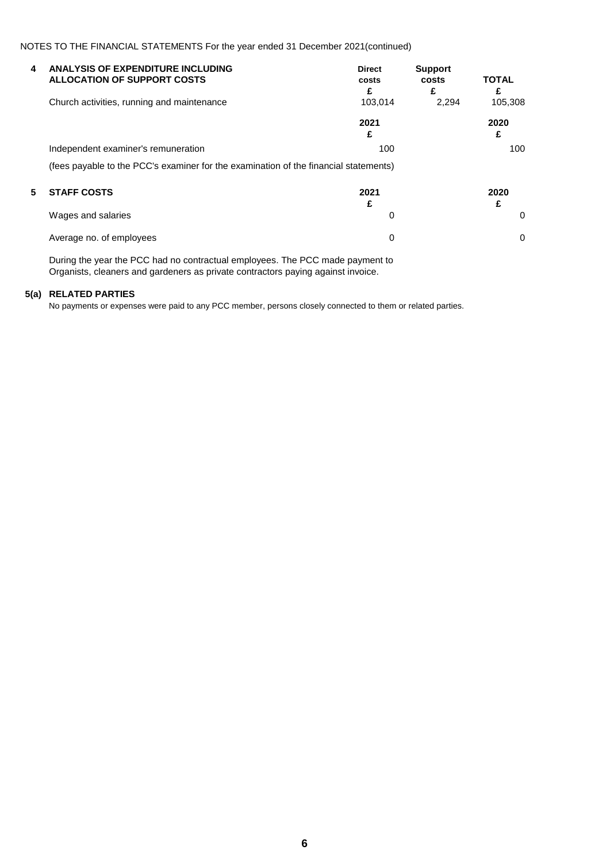NOTES TO THE FINANCIAL STATEMENTS For the year ended 31 December 2021(continued)

| 4 | <b>ANALYSIS OF EXPENDITURE INCLUDING</b><br><b>ALLOCATION OF SUPPORT COSTS</b>       | <b>Direct</b><br>costs<br>£ | <b>Support</b><br>costs<br>£ | <b>TOTAL</b><br>£ |
|---|--------------------------------------------------------------------------------------|-----------------------------|------------------------------|-------------------|
|   | Church activities, running and maintenance                                           | 103.014                     | 2.294                        | 105,308           |
|   |                                                                                      | 2021<br>£                   |                              | 2020<br>£         |
|   | Independent examiner's remuneration                                                  | 100                         |                              | 100               |
|   | (fees payable to the PCC's examiner for the examination of the financial statements) |                             |                              |                   |
| 5 | <b>STAFF COSTS</b>                                                                   | 2021<br>£                   |                              | 2020<br>£         |
|   | Wages and salaries                                                                   | 0                           |                              | 0                 |
|   | Average no. of employees                                                             | 0                           |                              | 0                 |

During the year the PCC had no contractual employees. The PCC made payment to Organists, cleaners and gardeners as private contractors paying against invoice.

## **5(a) RELATED PARTIES**

No payments or expenses were paid to any PCC member, persons closely connected to them or related parties.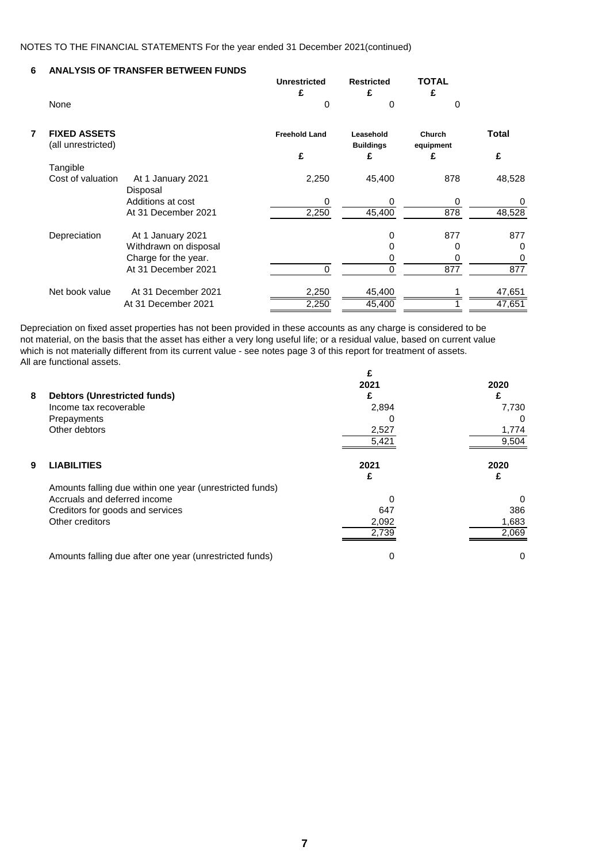## **6 ANALYSIS OF TRANSFER BETWEEN FUNDS**

| None                                      |                               | <b>Unrestricted</b><br>£<br>0 | <b>Restricted</b><br>£<br>0        | <b>TOTAL</b><br>£<br>0          |                   |
|-------------------------------------------|-------------------------------|-------------------------------|------------------------------------|---------------------------------|-------------------|
| <b>FIXED ASSETS</b><br>(all unrestricted) |                               | <b>Freehold Land</b><br>£     | Leasehold<br><b>Buildings</b><br>£ | <b>Church</b><br>equipment<br>£ | <b>Total</b><br>£ |
| Tangible                                  |                               |                               |                                    |                                 |                   |
| Cost of valuation                         | At 1 January 2021<br>Disposal | 2,250                         | 45,400                             | 878                             | 48,528            |
|                                           | Additions at cost             | 0                             | 0                                  | 0                               | 0                 |
|                                           | At 31 December 2021           | 2,250                         | 45,400                             | 878                             | 48,528            |
| Depreciation                              | At 1 January 2021             |                               | 0                                  | 877                             | 877               |
|                                           | Withdrawn on disposal         |                               | 0                                  | 0                               | 0                 |
|                                           | Charge for the year.          |                               | 0                                  | 0                               | 0                 |
|                                           | At 31 December 2021           | ∩                             | 0                                  | $\overline{877}$                | 877               |
| Net book value                            | At 31 December 2021           | 2,250                         | 45,400                             |                                 | 47,651            |
|                                           | At 31 December 2021           | 2,250                         | 45,400                             |                                 | 47,651            |

Depreciation on fixed asset properties has not been provided in these accounts as any charge is considered to be not material, on the basis that the asset has either a very long useful life; or a residual value, based on current value which is not materially different from its current value - see notes page 3 of this report for treatment of assets. All are functional assets. **£**

| 2021  | 2020     |
|-------|----------|
|       |          |
| 2,894 | 7,730    |
| 0     | 0        |
| 2,527 | 1,774    |
| 5,421 | 9,504    |
| 2021  | 2020     |
|       | £        |
|       |          |
| 0     | $\Omega$ |
| 647   | 386      |
| 2,092 | 1,683    |
| 2.739 | 2,069    |
| 0     | 0        |
|       |          |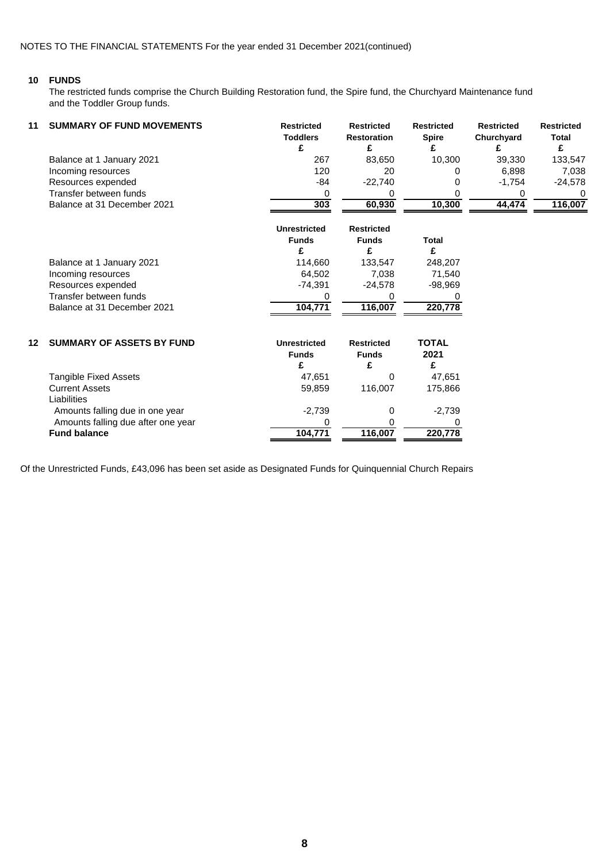#### **10 FUNDS**

The restricted funds comprise the Church Building Restoration fund, the Spire fund, the Churchyard Maintenance fund and the Toddler Group funds.

| 11 | <b>SUMMARY OF FUND MOVEMENTS</b> | <b>Restricted</b><br><b>Toddlers</b> | <b>Restricted</b><br><b>Restoration</b> | <b>Restricted</b><br><b>Spire</b> | <b>Restricted</b><br>Churchyard | <b>Restricted</b><br><b>Total</b> |
|----|----------------------------------|--------------------------------------|-----------------------------------------|-----------------------------------|---------------------------------|-----------------------------------|
|    | Balance at 1 January 2021        | 267                                  | 83.650                                  | 10.300                            | 39.330                          | 133,547                           |
|    | Incoming resources               | 120                                  | 20                                      |                                   | 6,898                           | 7.038                             |
|    | Resources expended               | -84                                  | $-22.740$                               |                                   | $-1.754$                        | $-24,578$                         |
|    | Transfer between funds           |                                      |                                         |                                   |                                 | $\Omega$                          |
|    | Balance at 31 December 2021      | 303                                  | 60.930                                  | 10.300                            | 44.474                          | 116,007                           |

|    |                                  | Unrestricted<br><b>Funds</b><br>£   | <b>Restricted</b><br><b>Funds</b><br>£ | <b>Total</b><br>£ |
|----|----------------------------------|-------------------------------------|----------------------------------------|-------------------|
|    | Balance at 1 January 2021        | 114,660                             | 133,547                                | 248,207           |
|    | Incoming resources               | 64,502                              | 7,038                                  | 71,540            |
|    | Resources expended               | $-74,391$                           | $-24,578$                              | $-98,969$         |
|    | Transfer between funds           |                                     |                                        |                   |
|    | Balance at 31 December 2021      | 104,771                             | 116,007                                | 220,778           |
| 12 | <b>SUMMARY OF ASSETS BY FUND</b> | <b>Unrestricted</b><br><b>Funds</b> | <b>Restricted</b><br><b>Funds</b>      | TOTAL<br>2021     |

| Tangible Fixed Assets              | 47,651   |         | 47.651   |
|------------------------------------|----------|---------|----------|
| <b>Current Assets</b>              | 59,859   | 116.007 | 175,866  |
| Liabilities                        |          |         |          |
| Amounts falling due in one year    | $-2,739$ |         | $-2,739$ |
| Amounts falling due after one year |          |         |          |
| <b>Fund balance</b>                | 104.771  | 116.007 | 220,778  |
|                                    |          |         |          |

Of the Unrestricted Funds, £43,096 has been set aside as Designated Funds for Quinquennial Church Repairs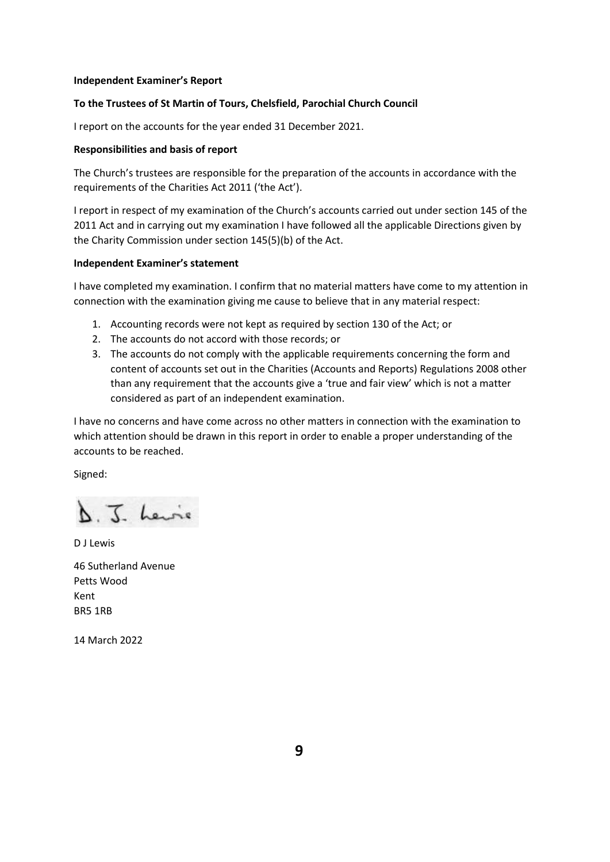#### **Independent Examiner's Report**

## **To the Trustees of St Martin of Tours, Chelsfield, Parochial Church Council**

I report on the accounts for the year ended 31 December 2021.

### **Responsibilities and basis of report**

The Church's trustees are responsible for the preparation of the accounts in accordance with the requirements of the Charities Act 2011 ('the Act').

I report in respect of my examination of the Church's accounts carried out under section 145 of the 2011 Act and in carrying out my examination I have followed all the applicable Directions given by the Charity Commission under section 145(5)(b) of the Act.

#### **Independent Examiner's statement**

I have completed my examination. I confirm that no material matters have come to my attention in connection with the examination giving me cause to believe that in any material respect:

- 1. Accounting records were not kept as required by section 130 of the Act; or
- 2. The accounts do not accord with those records; or
- 3. The accounts do not comply with the applicable requirements concerning the form and content of accounts set out in the Charities (Accounts and Reports) Regulations 2008 other than any requirement that the accounts give a 'true and fair view' which is not a matter considered as part of an independent examination.

I have no concerns and have come across no other matters in connection with the examination to which attention should be drawn in this report in order to enable a proper understanding of the accounts to be reached.

Signed:

D. J. Lewie

D J Lewis 46 Sutherland Avenue Petts Wood Kent BR5 1RB

14 March 2022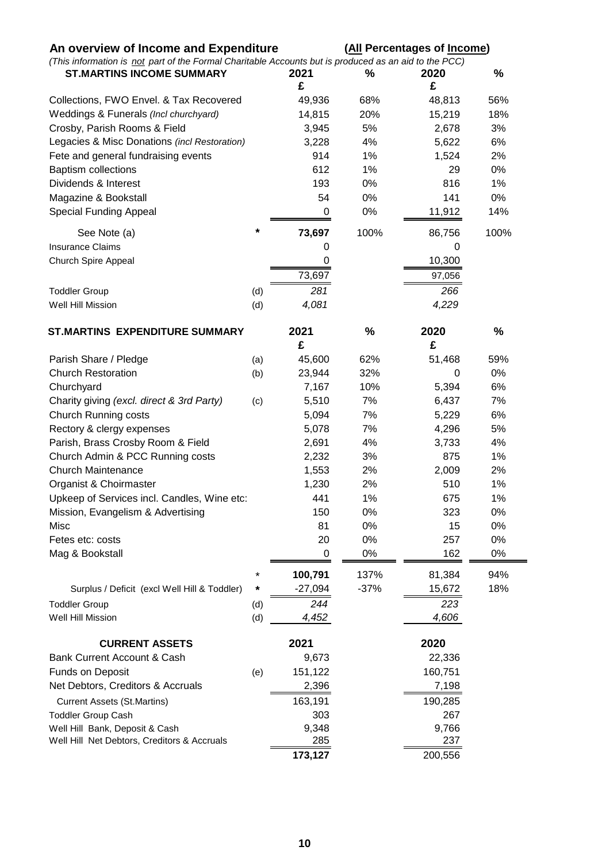| An overview of Income and Expenditure<br>(This information is not part of the Formal Charitable Accounts but is produced as an aid to the PCC) |        | (All Percentages of Income) |               |         |      |  |
|------------------------------------------------------------------------------------------------------------------------------------------------|--------|-----------------------------|---------------|---------|------|--|
| <b>ST.MARTINS INCOME SUMMARY</b>                                                                                                               |        | 2021                        | %             | 2020    | %    |  |
|                                                                                                                                                |        | £                           |               | £       |      |  |
| Collections, FWO Envel. & Tax Recovered                                                                                                        |        | 49,936                      | 68%           | 48,813  | 56%  |  |
| Weddings & Funerals (Incl churchyard)                                                                                                          |        | 14,815                      | 20%           | 15,219  | 18%  |  |
| Crosby, Parish Rooms & Field                                                                                                                   |        | 3,945                       | 5%            | 2,678   | 3%   |  |
| Legacies & Misc Donations (incl Restoration)                                                                                                   |        | 3,228                       | 4%            | 5,622   | 6%   |  |
| Fete and general fundraising events                                                                                                            |        | 914                         | 1%            | 1,524   | 2%   |  |
| <b>Baptism collections</b>                                                                                                                     |        | 612                         | 1%            | 29      | 0%   |  |
| Dividends & Interest                                                                                                                           |        | 193                         | 0%            | 816     | 1%   |  |
| Magazine & Bookstall                                                                                                                           |        | 54                          | 0%            | 141     | 0%   |  |
| <b>Special Funding Appeal</b>                                                                                                                  |        | 0                           | 0%            | 11,912  | 14%  |  |
| See Note (a)                                                                                                                                   | *      | 73,697                      | 100%          | 86,756  | 100% |  |
| <b>Insurance Claims</b>                                                                                                                        |        | 0                           |               | 0       |      |  |
| <b>Church Spire Appeal</b>                                                                                                                     |        | 0                           |               | 10,300  |      |  |
|                                                                                                                                                |        | 73,697                      |               | 97,056  |      |  |
| <b>Toddler Group</b>                                                                                                                           | (d)    | 281                         |               | 266     |      |  |
| Well Hill Mission                                                                                                                              | (d)    | 4,081                       |               | 4,229   |      |  |
| <b>ST.MARTINS EXPENDITURE SUMMARY</b>                                                                                                          |        | 2021                        | $\frac{0}{0}$ | 2020    | $\%$ |  |
|                                                                                                                                                |        | £                           |               | £       |      |  |
| Parish Share / Pledge                                                                                                                          | (a)    | 45,600                      | 62%           | 51,468  | 59%  |  |
| <b>Church Restoration</b>                                                                                                                      | (b)    | 23,944                      | 32%           | 0       | 0%   |  |
| Churchyard                                                                                                                                     |        | 7,167                       | 10%           | 5,394   | 6%   |  |
| Charity giving (excl. direct & 3rd Party)                                                                                                      | (c)    | 5,510                       | 7%            | 6,437   | 7%   |  |
| <b>Church Running costs</b>                                                                                                                    |        | 5,094                       | 7%            | 5,229   | 6%   |  |
| Rectory & clergy expenses                                                                                                                      |        | 5,078                       | 7%            | 4,296   | 5%   |  |
| Parish, Brass Crosby Room & Field                                                                                                              |        | 2,691                       | 4%            | 3,733   | 4%   |  |
| Church Admin & PCC Running costs                                                                                                               |        | 2,232                       | 3%            | 875     | 1%   |  |
| <b>Church Maintenance</b>                                                                                                                      |        | 1,553                       | 2%            | 2,009   | 2%   |  |
| Organist & Choirmaster                                                                                                                         |        | 1,230                       | 2%            | 510     | 1%   |  |
| Upkeep of Services incl. Candles, Wine etc:                                                                                                    |        | 441                         | 1%            | 675     | 1%   |  |
| Mission, Evangelism & Advertising                                                                                                              |        | 150                         | 0%            | 323     | 0%   |  |
| Misc                                                                                                                                           |        | 81                          | 0%            | 15      | 0%   |  |
| Fetes etc: costs                                                                                                                               |        | 20                          | 0%            | 257     | 0%   |  |
| Mag & Bookstall                                                                                                                                |        | 0                           | 0%            | 162     | 0%   |  |
|                                                                                                                                                |        | 100,791                     | 137%          | 81,384  | 94%  |  |
| Surplus / Deficit (excl Well Hill & Toddler)                                                                                                   | $\ast$ | $-27,094$                   | $-37%$        | 15,672  | 18%  |  |
| <b>Toddler Group</b>                                                                                                                           | (d)    | 244                         |               | 223     |      |  |
| Well Hill Mission                                                                                                                              | (d)    | 4,452                       |               | 4,606   |      |  |
| <b>CURRENT ASSETS</b>                                                                                                                          |        | 2021                        |               | 2020    |      |  |
| <b>Bank Current Account &amp; Cash</b>                                                                                                         |        | 9,673                       |               | 22,336  |      |  |
| <b>Funds on Deposit</b>                                                                                                                        | (e)    | 151,122                     |               | 160,751 |      |  |
| Net Debtors, Creditors & Accruals                                                                                                              |        | 2,396                       |               | 7,198   |      |  |
| <b>Current Assets (St.Martins)</b>                                                                                                             |        | 163,191                     |               | 190,285 |      |  |
| <b>Toddler Group Cash</b>                                                                                                                      |        | 303                         |               | 267     |      |  |
| Well Hill Bank, Deposit & Cash                                                                                                                 |        | 9,348                       |               | 9,766   |      |  |
| Well Hill Net Debtors, Creditors & Accruals                                                                                                    |        | 285                         |               | 237     |      |  |
|                                                                                                                                                |        | 173,127                     |               | 200,556 |      |  |
|                                                                                                                                                |        |                             |               |         |      |  |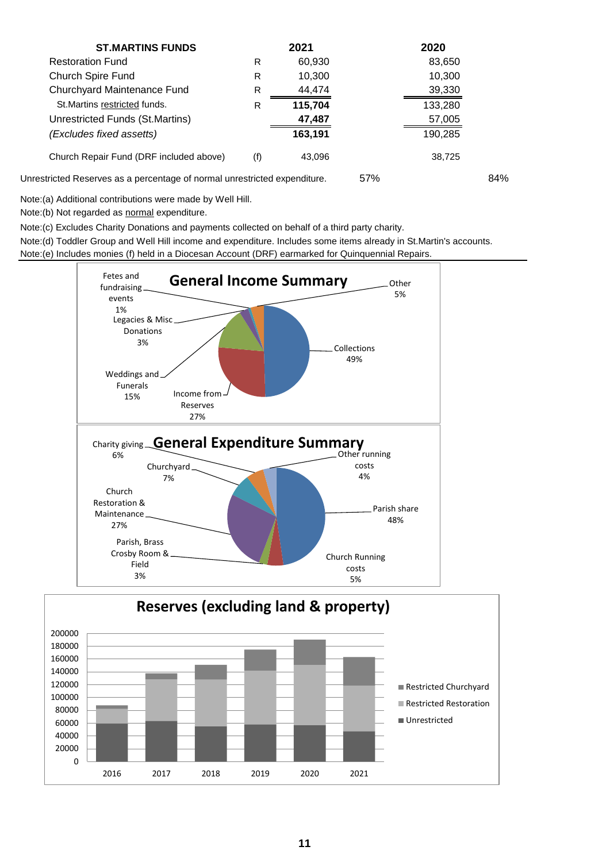| <b>ST.MARTINS FUNDS</b>                                                   |     | 2021    | 2020    |     |
|---------------------------------------------------------------------------|-----|---------|---------|-----|
| <b>Restoration Fund</b>                                                   | R   | 60,930  | 83,650  |     |
| Church Spire Fund                                                         | R   | 10,300  | 10,300  |     |
| Churchyard Maintenance Fund                                               | R   | 44,474  | 39,330  |     |
| St. Martins restricted funds.                                             | R   | 115,704 | 133,280 |     |
| Unrestricted Funds (St.Martins)                                           |     | 47,487  | 57,005  |     |
| (Excludes fixed assetts)                                                  |     | 163,191 | 190,285 |     |
| Church Repair Fund (DRF included above)                                   | (f) | 43,096  | 38,725  |     |
| Unrestricted Reserves as a percentage of normal unrestricted expenditure. |     |         | 57%     | 84% |

Note:(a) Additional contributions were made by Well Hill.

Note:(b) Not regarded as normal expenditure.

Note:(c) Excludes Charity Donations and payments collected on behalf of a third party charity.

Note:(d) Toddler Group and Well Hill income and expenditure. Includes some items already in St.Martin's accounts.

Note:(e) Includes monies (f) held in a Diocesan Account (DRF) earmarked for Quinquennial Repairs.

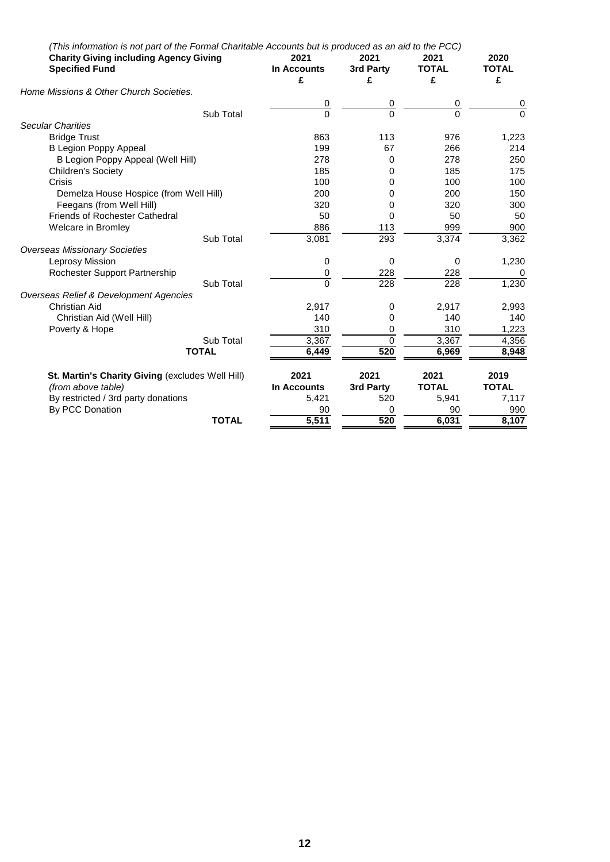|                                                  | (This information is not part of the Formal Charitable Accounts but is produced as an aid to the PCC) |                |                |                |                |
|--------------------------------------------------|-------------------------------------------------------------------------------------------------------|----------------|----------------|----------------|----------------|
|                                                  | <b>Charity Giving including Agency Giving</b>                                                         |                | 2021           | 2021           | 2020           |
| <b>Specified Fund</b>                            |                                                                                                       | In Accounts    | 3rd Party      | <b>TOTAL</b>   | <b>TOTAL</b>   |
|                                                  |                                                                                                       | £              | £              | £              | £              |
| Home Missions & Other Church Societies.          |                                                                                                       |                |                |                |                |
|                                                  |                                                                                                       | 0              | 0              | 0              | 0              |
|                                                  | Sub Total                                                                                             | $\overline{0}$ | $\overline{0}$ | $\overline{0}$ | $\overline{0}$ |
| <b>Secular Charities</b>                         |                                                                                                       |                |                |                |                |
| <b>Bridge Trust</b>                              |                                                                                                       | 863            | 113            | 976            | 1,223          |
| <b>B Legion Poppy Appeal</b>                     |                                                                                                       | 199            | 67             | 266            | 214            |
| B Legion Poppy Appeal (Well Hill)                |                                                                                                       | 278            | 0              | 278            | 250            |
| <b>Children's Society</b>                        |                                                                                                       | 185            | 0              | 185            | 175            |
| Crisis                                           |                                                                                                       | 100            | 0              | 100            | 100            |
| Demelza House Hospice (from Well Hill)           |                                                                                                       | 200            | 0              | 200            | 150            |
| Feegans (from Well Hill)                         |                                                                                                       | 320            | 0              | 320            | 300            |
| <b>Friends of Rochester Cathedral</b>            |                                                                                                       | 50             | 0              | 50             | 50             |
| <b>Welcare in Bromley</b>                        |                                                                                                       | 886            | 113            | 999            | 900            |
|                                                  | Sub Total                                                                                             | 3,081          | 293            | 3,374          | 3,362          |
| <b>Overseas Missionary Societies</b>             |                                                                                                       |                |                |                |                |
| Leprosy Mission                                  |                                                                                                       | 0              | 0              | 0              | 1,230          |
| Rochester Support Partnership                    |                                                                                                       | 0              | 228            | 228            | $\mathbf{0}$   |
|                                                  | Sub Total                                                                                             | $\Omega$       | 228            | 228            | 1,230          |
| Overseas Relief & Development Agencies           |                                                                                                       |                |                |                |                |
| <b>Christian Aid</b>                             |                                                                                                       | 2,917          | 0              | 2,917          | 2,993          |
| Christian Aid (Well Hill)                        |                                                                                                       | 140            | 0              | 140            | 140            |
| Poverty & Hope                                   |                                                                                                       | 310            | 0              | 310            | 1,223          |
|                                                  | Sub Total                                                                                             | 3,367          | $\mathbf 0$    | 3,367          | 4,356          |
|                                                  | <b>TOTAL</b>                                                                                          | 6,449          | 520            | 6,969          | 8,948          |
| St. Martin's Charity Giving (excludes Well Hill) |                                                                                                       | 2021           | 2021           | 2021           | 2019           |
| (from above table)                               |                                                                                                       | In Accounts    | 3rd Party      | <b>TOTAL</b>   | <b>TOTAL</b>   |
| By restricted / 3rd party donations              |                                                                                                       | 5,421          | 520            | 5,941          | 7,117          |
| By PCC Donation                                  |                                                                                                       | 90             | 0              | 90             | 990            |
|                                                  | <b>TOTAL</b>                                                                                          | 5,511          | 520            | 6,031          | 8,107          |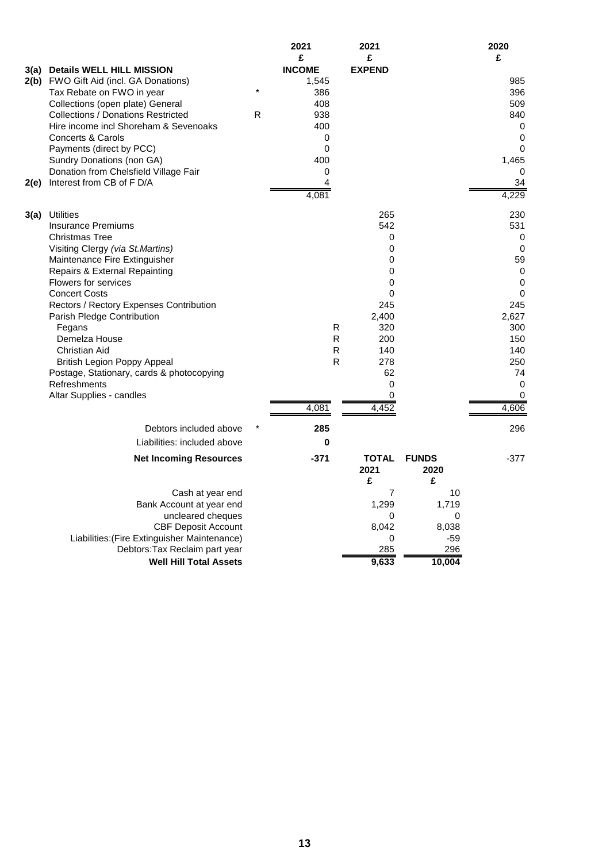|      |                                                                       |              | 2021<br>£     | 2021<br>£          |                           | 2020<br>£       |
|------|-----------------------------------------------------------------------|--------------|---------------|--------------------|---------------------------|-----------------|
| 3(a) | <b>Details WELL HILL MISSION</b>                                      |              | <b>INCOME</b> | <b>EXPEND</b>      |                           |                 |
|      | 2(b) FWO Gift Aid (incl. GA Donations)                                |              | 1,545         |                    |                           | 985             |
|      | Tax Rebate on FWO in year                                             |              | 386           |                    |                           | 396             |
|      | Collections (open plate) General                                      |              | 408           |                    |                           | 509             |
|      | <b>Collections / Donations Restricted</b>                             | $\mathsf{R}$ | 938           |                    |                           | 840             |
|      | Hire income incl Shoreham & Sevenoaks                                 |              | 400           |                    |                           | 0               |
|      | <b>Concerts &amp; Carols</b><br>Payments (direct by PCC)              |              | 0<br>0        |                    |                           | 0<br>0          |
|      | Sundry Donations (non GA)                                             |              | 400           |                    |                           | 1,465           |
|      | Donation from Chelsfield Village Fair                                 |              | 0             |                    |                           | $\Omega$        |
| 2(e) | Interest from CB of F D/A                                             |              | 4             |                    |                           | 34              |
|      |                                                                       |              | 4,081         |                    |                           | 4,229           |
| 3(a) | <b>Utilities</b>                                                      |              |               | 265                |                           | 230             |
|      | <b>Insurance Premiums</b>                                             |              |               | 542                |                           | 531             |
|      | <b>Christmas Tree</b>                                                 |              |               | 0                  |                           | 0               |
|      | Visiting Clergy (via St.Martins)                                      |              |               | 0                  |                           | $\mathbf 0$     |
|      | Maintenance Fire Extinguisher                                         |              |               | 0                  |                           | 59              |
|      | <b>Repairs &amp; External Repainting</b>                              |              |               | 0                  |                           | 0               |
|      | <b>Flowers for services</b>                                           |              |               | 0                  |                           | 0               |
|      | <b>Concert Costs</b>                                                  |              |               | 0                  |                           | $\Omega$<br>245 |
|      | Rectors / Rectory Expenses Contribution<br>Parish Pledge Contribution |              |               | 245<br>2,400       |                           | 2,627           |
|      | Fegans                                                                |              | R             | 320                |                           | 300             |
|      | Demelza House                                                         |              | $\mathsf{R}$  | 200                |                           | 150             |
|      | Christian Aid                                                         |              | $\mathsf{R}$  | 140                |                           | 140             |
|      | <b>British Legion Poppy Appeal</b>                                    |              | $\mathsf{R}$  | 278                |                           | 250             |
|      | Postage, Stationary, cards & photocopying                             |              |               | 62                 |                           | 74              |
|      | Refreshments                                                          |              |               | 0                  |                           | 0               |
|      | Altar Supplies - candles                                              |              |               | 0                  |                           | 0               |
|      |                                                                       |              | 4,081         | 4,452              |                           | 4,606           |
|      | Debtors included above                                                |              | 285           |                    |                           | 296             |
|      | Liabilities: included above                                           |              | 0             |                    |                           |                 |
|      | <b>Net Incoming Resources</b>                                         |              | $-371$        | TOTAL<br>2021<br>£ | <b>FUNDS</b><br>2020<br>£ | $-377$          |
|      | Cash at year end                                                      |              |               | $\overline{7}$     | 10                        |                 |
|      | Bank Account at year end                                              |              |               | 1,299              | 1,719                     |                 |
|      | uncleared cheques                                                     |              |               | 0                  | 0                         |                 |
|      | <b>CBF Deposit Account</b>                                            |              |               | 8,042              | 8,038                     |                 |
|      | Liabilities: (Fire Extinguisher Maintenance)                          |              |               | 0                  | $-59$                     |                 |
|      | Debtors: Tax Reclaim part year                                        |              |               | 285                | 296                       |                 |
|      | <b>Well Hill Total Assets</b>                                         |              |               | 9,633              | 10,004                    |                 |